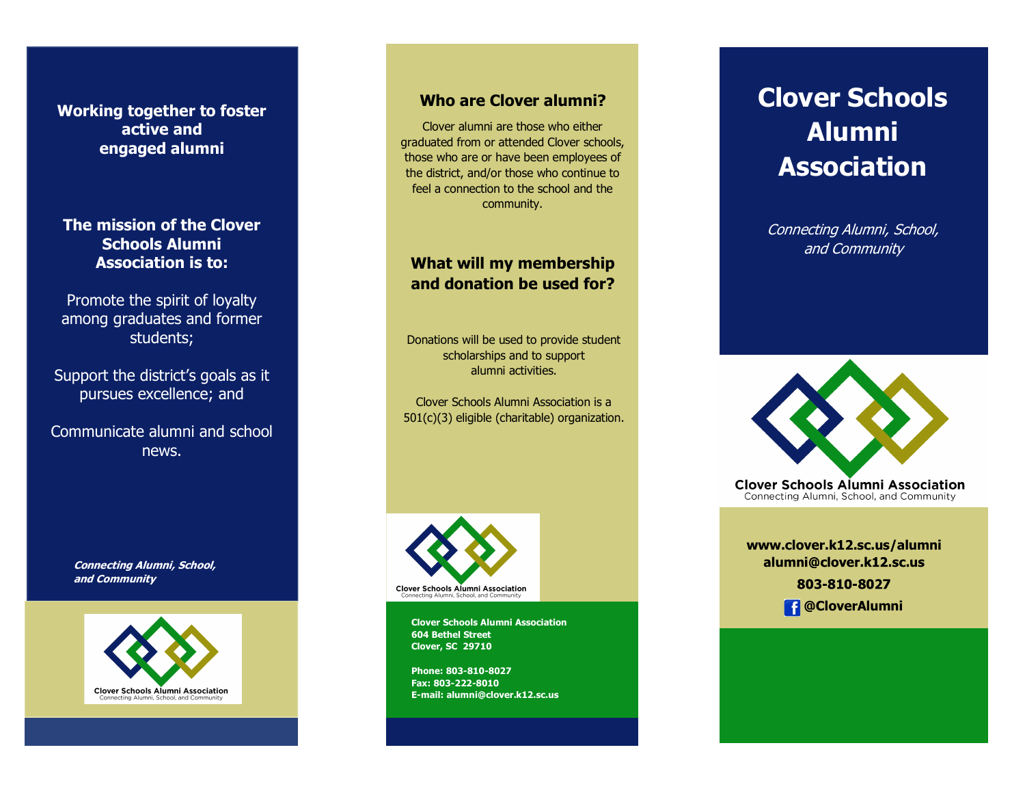**Working together to foster active and engaged alumni**

**The mission of the Clover Schools Alumni Association is to:**

Promote the spirit of loyalty among graduates and former students;

Support the district's goals as it pursues excellence; and

Communicate alumni and school news.

> **Connecting Alumni, School, and Community**



#### **Who are Clover alumni?**

Clover alumni are those who either graduated from or attended Clover schools, those who are or have been employees of the district, and/or those who continue to feel a connection to the school and the community.

#### **What will my membership and donation be used for?**

Donations will be used to provide student scholarships and to support alumni activities.

Clover Schools Alumni Association is a 501(c)(3) eligible (charitable) organization.



**Clover Schools Alumni Association 604 Bethel Street Clover, SC 29710**

**Phone: 803-810-8027 Fax: 803-222-8010 E-mail: alumni@clover.k12.sc.us**

# **Clover Schools Alumni Association**

Connecting Alumni, School, and Community



**Clover Schools Alumni Association** Connecting Alumni, School, and Community

**www.clover.k12.sc.us/alumni** alumni@clover.k12.sc.us 803-810-8027

 **@CloverAlumni**